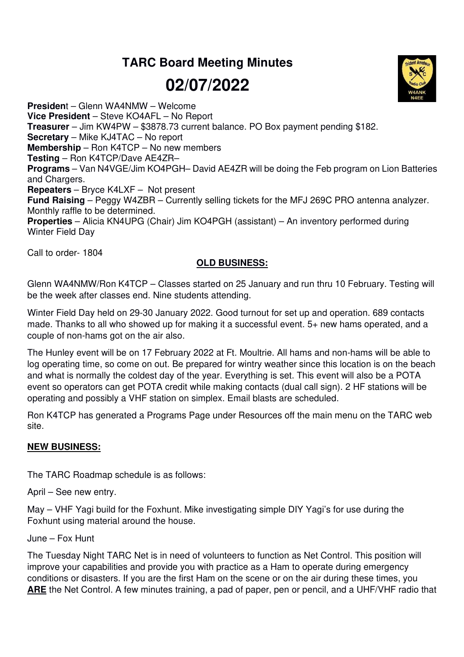## **TARC Board Meeting Minutes**

**02/07/2022** 

**Presiden**t – Glenn WA4NMW – Welcome **Vice President** – Steve KO4AFL – No Report **Treasurer** – Jim KW4PW – \$3878.73 current balance. PO Box payment pending \$182. **Secretary** – Mike KJ4TAC – No report **Membership** – Ron K4TCP – No new members **Testing** – Ron K4TCP/Dave AE4ZR– **Programs** – Van N4VGE/Jim KO4PGH– David AE4ZR will be doing the Feb program on Lion Batteries and Chargers. **Repeaters** – Bryce K4LXF – Not present **Fund Raising** – Peggy W4ZBR – Currently selling tickets for the MFJ 269C PRO antenna analyzer. Monthly raffle to be determined. **Properties** – Alicia KN4UPG (Chair) Jim KO4PGH (assistant) – An inventory performed during Winter Field Day

Call to order- 1804

## **OLD BUSINESS:**

Glenn WA4NMW/Ron K4TCP – Classes started on 25 January and run thru 10 February. Testing will be the week after classes end. Nine students attending.

Winter Field Day held on 29-30 January 2022. Good turnout for set up and operation. 689 contacts made. Thanks to all who showed up for making it a successful event. 5+ new hams operated, and a couple of non-hams got on the air also.

The Hunley event will be on 17 February 2022 at Ft. Moultrie. All hams and non-hams will be able to log operating time, so come on out. Be prepared for wintry weather since this location is on the beach and what is normally the coldest day of the year. Everything is set. This event will also be a POTA event so operators can get POTA credit while making contacts (dual call sign). 2 HF stations will be operating and possibly a VHF station on simplex. Email blasts are scheduled.

Ron K4TCP has generated a Programs Page under Resources off the main menu on the TARC web site.

## **NEW BUSINESS:**

The TARC Roadmap schedule is as follows:

April – See new entry.

May – VHF Yagi build for the Foxhunt. Mike investigating simple DIY Yagi's for use during the Foxhunt using material around the house.

June – Fox Hunt

The Tuesday Night TARC Net is in need of volunteers to function as Net Control. This position will improve your capabilities and provide you with practice as a Ham to operate during emergency conditions or disasters. If you are the first Ham on the scene or on the air during these times, you **ARE** the Net Control. A few minutes training, a pad of paper, pen or pencil, and a UHF/VHF radio that